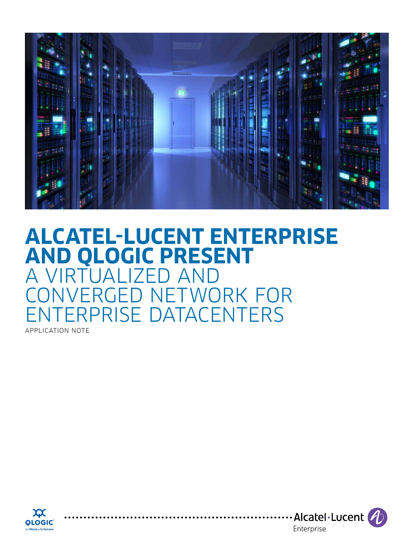

# **ALCATEL-LUCENT ENTERPRISE AND QLOGIC PRESENT**  A VIRTUALIZE CONVERGED NETWORK FOR ERPRISE DATACENTERS

APPLICATION NOTE



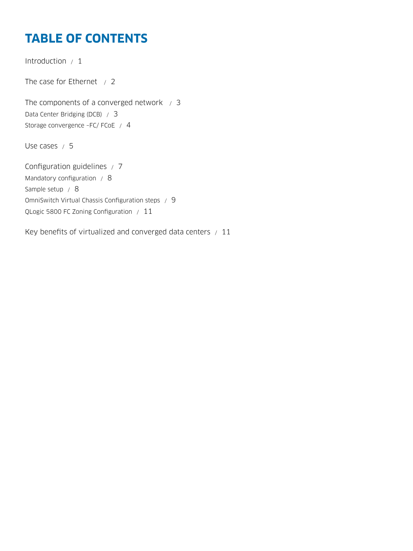# **TABLE OF CONTENTS**

[Introduction / 1](#page-2-0) The case for Ethernet  $/2$ The components of a converged network  $\neq$  3 [Data Center Bridging \(DCB\) / 3](#page-4-0) Storage convergence -FC/ FCoE / 4 [Use cases / 5](#page-6-0) [Configuration guidelines / 7](#page-8-0) [Mandatory configuration / 8](#page-9-0) [Sample setup / 8](#page-9-0) [OmniSwitch Virtual Chassis Configuration steps / 9](#page-10-0) [QLogic 5800 FC Zoning Configuration / 11](#page-12-0)

[Key benefits of virtualized and converged data centers / 11](#page-12-0)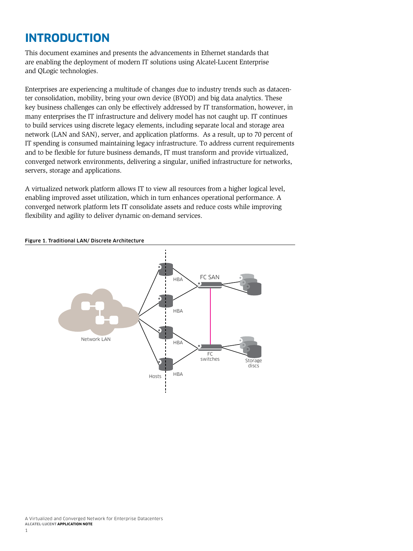# <span id="page-2-0"></span>**INTRODUCTION**

This document examines and presents the advancements in Ethernet standards that are enabling the deployment of modern IT solutions using Alcatel-Lucent Enterprise and QLogic technologies.

Enterprises are experiencing a multitude of changes due to industry trends such as datacenter consolidation, mobility, bring your own device (BYOD) and big data analytics. These key business challenges can only be effectively addressed by IT transformation, however, in many enterprises the IT infrastructure and delivery model has not caught up. IT continues to build services using discrete legacy elements, including separate local and storage area network (LAN and SAN), server, and application platforms. As a result, up to 70 percent of IT spending is consumed maintaining legacy infrastructure. To address current requirements and to be flexible for future business demands, IT must transform and provide virtualized, converged network environments, delivering a singular, unified infrastructure for networks, servers, storage and applications.

A virtualized network platform allows IT to view all resources from a higher logical level, enabling improved asset utilization, which in turn enhances operational performance. A converged network platform lets IT consolidate assets and reduce costs while improving flexibility and agility to deliver dynamic on-demand services.



#### Figure 1. Traditional LAN/ Discrete Architecture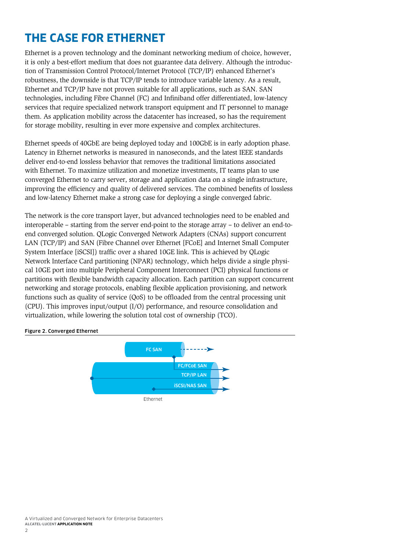# <span id="page-3-0"></span>**THE CASE FOR ETHERNET**

Ethernet is a proven technology and the dominant networking medium of choice, however, it is only a best-effort medium that does not guarantee data delivery. Although the introduction of Transmission Control Protocol/Internet Protocol (TCP/IP) enhanced Ethernet's robustness, the downside is that TCP/IP tends to introduce variable latency. As a result, Ethernet and TCP/IP have not proven suitable for all applications, such as SAN. SAN technologies, including Fibre Channel (FC) and Infiniband offer differentiated, low-latency services that require specialized network transport equipment and IT personnel to manage them. As application mobility across the datacenter has increased, so has the requirement for storage mobility, resulting in ever more expensive and complex architectures.

Ethernet speeds of 40GbE are being deployed today and 100GbE is in early adoption phase. Latency in Ethernet networks is measured in nanoseconds, and the latest IEEE standards deliver end-to-end lossless behavior that removes the traditional limitations associated with Ethernet. To maximize utilization and monetize investments, IT teams plan to use converged Ethernet to carry server, storage and application data on a single infrastructure, improving the efficiency and quality of delivered services. The combined benefits of lossless and low-latency Ethernet make a strong case for deploying a single converged fabric.

The network is the core transport layer, but advanced technologies need to be enabled and interoperable – starting from the server end-point to the storage array – to deliver an end-toend converged solution. QLogic Converged Network Adapters (CNAs) support concurrent LAN (TCP/IP) and SAN (Fibre Channel over Ethernet [FCoE] and Internet Small Computer System Interface [iSCSI]) traffic over a shared 10GE link. This is achieved by QLogic Network Interface Card partitioning (NPAR) technology, which helps divide a single physical 10GE port into multiple Peripheral Component Interconnect (PCI) physical functions or partitions with flexible bandwidth capacity allocation. Each partition can support concurrent networking and storage protocols, enabling flexible application provisioning, and network functions such as quality of service (QoS) to be offloaded from the central processing unit (CPU). This improves input/output (I/O) performance, and resource consolidation and virtualization, while lowering the solution total cost of ownership (TCO).

#### Figure 2. Converged Ethernet

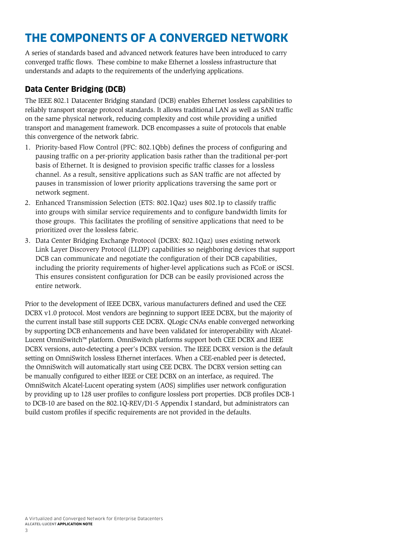# <span id="page-4-0"></span>**THE COMPONENTS OF A CONVERGED NETWORK**

A series of standards based and advanced network features have been introduced to carry converged traffic flows. These combine to make Ethernet a lossless infrastructure that understands and adapts to the requirements of the underlying applications.

## **Data Center Bridging (DCB)**

The IEEE 802.1 Datacenter Bridging standard (DCB) enables Ethernet lossless capabilities to reliably transport storage protocol standards. It allows traditional LAN as well as SAN traffic on the same physical network, reducing complexity and cost while providing a unified transport and management framework. DCB encompasses a suite of protocols that enable this convergence of the network fabric.

- 1. Priority-based Flow Control (PFC: 802.1Qbb) defines the process of configuring and pausing traffic on a per-priority application basis rather than the traditional per-port basis of Ethernet. It is designed to provision specific traffic classes for a lossless channel. As a result, sensitive applications such as SAN traffic are not affected by pauses in transmission of lower priority applications traversing the same port or network segment.
- 2. Enhanced Transmission Selection (ETS: 802.1Qaz) uses 802.1p to classify traffic into groups with similar service requirements and to configure bandwidth limits for those groups. This facilitates the profiling of sensitive applications that need to be prioritized over the lossless fabric.
- 3. Data Center Bridging Exchange Protocol (DCBX: 802.1Qaz) uses existing network Link Layer Discovery Protocol (LLDP) capabilities so neighboring devices that support DCB can communicate and negotiate the configuration of their DCB capabilities, including the priority requirements of higher-level applications such as FCoE or iSCSI. This ensures consistent configuration for DCB can be easily provisioned across the entire network.

Prior to the development of IEEE DCBX, various manufacturers defined and used the CEE DCBX v1.0 protocol. Most vendors are beginning to support IEEE DCBX, but the majority of the current install base still supports CEE DCBX. QLogic CNAs enable converged networking by supporting DCB enhancements and have been validated for interoperability with Alcatel-Lucent OmniSwitch™ platform. OmniSwitch platforms support both CEE DCBX and IEEE DCBX versions, auto-detecting a peer's DCBX version. The IEEE DCBX version is the default setting on OmniSwitch lossless Ethernet interfaces. When a CEE-enabled peer is detected, the OmniSwitch will automatically start using CEE DCBX. The DCBX version setting can be manually configured to either IEEE or CEE DCBX on an interface, as required. The OmniSwitch Alcatel-Lucent operating system (AOS) simplifies user network configuration by providing up to 128 user profiles to configure lossless port properties. DCB profiles DCB-1 to DCB-10 are based on the 802.1Q-REV/D1-5 Appendix I standard, but administrators can build custom profiles if specific requirements are not provided in the defaults.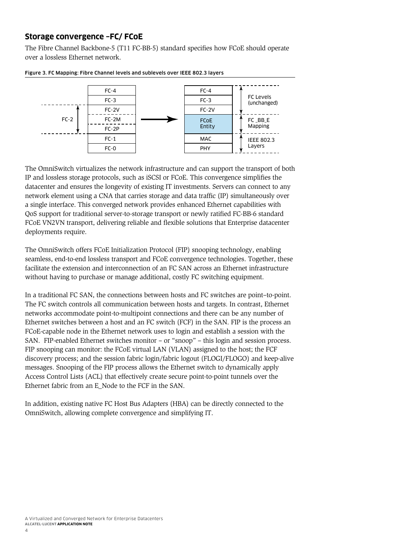### <span id="page-5-0"></span>**Storage convergence –FC/ FCoE**

The Fibre Channel Backbone-5 (T11 FC-BB-5) standard specifies how FCoE should operate over a lossless Ethernet network.



Figure 3. FC Mapping: Fibre Channel levels and sublevels over IEEE 802.3 layers

The OmniSwitch virtualizes the network infrastructure and can support the transport of both IP and lossless storage protocols, such as iSCSI or FCoE. This convergence simplifies the datacenter and ensures the longevity of existing IT investments. Servers can connect to any network element using a CNA that carries storage and data traffic (IP) simultaneously over a single interface. This converged network provides enhanced Ethernet capabilities with QoS support for traditional server-to-storage transport or newly ratified FC-BB-6 standard FCoE VN2VN transport, delivering reliable and flexible solutions that Enterprise datacenter deployments require.

The OmniSwitch offers FCoE Initialization Protocol (FIP) snooping technology, enabling seamless, end-to-end lossless transport and FCoE convergence technologies. Together, these facilitate the extension and interconnection of an FC SAN across an Ethernet infrastructure without having to purchase or manage additional, costly FC switching equipment.

In a traditional FC SAN, the connections between hosts and FC switches are point–to-point. The FC switch controls all communication between hosts and targets. In contrast, Ethernet networks accommodate point-to-multipoint connections and there can be any number of Ethernet switches between a host and an FC switch (FCF) in the SAN. FIP is the process an FCoE-capable node in the Ethernet network uses to login and establish a session with the SAN. FIP-enabled Ethernet switches monitor – or "snoop" – this login and session process. FIP snooping can monitor: the FCoE virtual LAN (VLAN) assigned to the host; the FCF discovery process; and the session fabric login/fabric logout (FLOGI/FLOGO) and keep-alive messages. Snooping of the FIP process allows the Ethernet switch to dynamically apply Access Control Lists (ACL) that effectively create secure point-to-point tunnels over the Ethernet fabric from an E\_Node to the FCF in the SAN.

In addition, existing native FC Host Bus Adapters (HBA) can be directly connected to the OmniSwitch, allowing complete convergence and simplifying IT.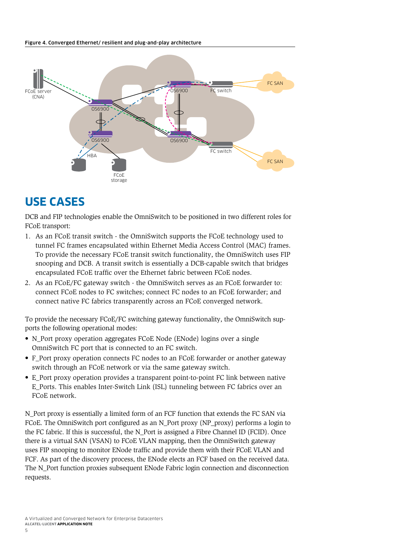#### <span id="page-6-0"></span>Figure 4. Converged Ethernet/ resilient and plug-and-play architecture



# **USE CASES**

DCB and FIP technologies enable the OmniSwitch to be positioned in two different roles for FCoE transport:

- 1. As an FCoE transit switch the OmniSwitch supports the FCoE technology used to tunnel FC frames encapsulated within Ethernet Media Access Control (MAC) frames. To provide the necessary FCoE transit switch functionality, the OmniSwitch uses FIP snooping and DCB. A transit switch is essentially a DCB-capable switch that bridges encapsulated FCoE traffic over the Ethernet fabric between FCoE nodes.
- 2. As an FCoE/FC gateway switch the OmniSwitch serves as an FCoE forwarder to: connect FCoE nodes to FC switches; connect FC nodes to an FCoE forwarder; and connect native FC fabrics transparently across an FCoE converged network.

To provide the necessary FCoE/FC switching gateway functionality, the OmniSwitch supports the following operational modes:

- N\_Port proxy operation aggregates FCoE Node (ENode) logins over a single OmniSwitch FC port that is connected to an FC switch.
- F\_Port proxy operation connects FC nodes to an FCoE forwarder or another gateway switch through an FCoE network or via the same gateway switch.
- E\_Port proxy operation provides a transparent point-to-point FC link between native E\_Ports. This enables Inter-Switch Link (ISL) tunneling between FC fabrics over an FCoE network.

N\_Port proxy is essentially a limited form of an FCF function that extends the FC SAN via FCoE. The OmniSwitch port configured as an N\_Port proxy (NP\_proxy) performs a login to the FC fabric. If this is successful, the N\_Port is assigned a Fibre Channel ID (FCID). Once there is a virtual SAN (VSAN) to FCoE VLAN mapping, then the OmniSwitch gateway uses FIP snooping to monitor ENode traffic and provide them with their FCoE VLAN and FCF. As part of the discovery process, the ENode elects an FCF based on the received data. The N\_Port function proxies subsequent ENode Fabric login connection and disconnection requests.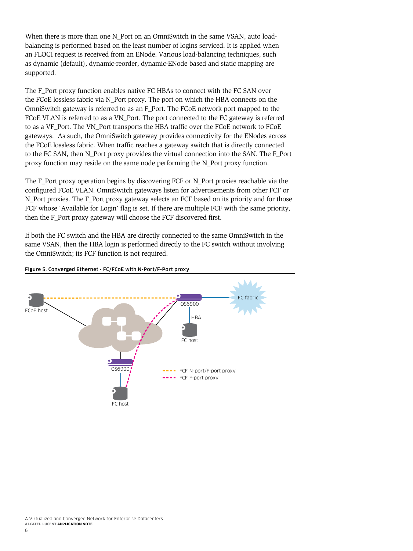When there is more than one N\_Port on an OmniSwitch in the same VSAN, auto loadbalancing is performed based on the least number of logins serviced. It is applied when an FLOGI request is received from an ENode. Various load-balancing techniques, such as dynamic (default), dynamic-reorder, dynamic-ENode based and static mapping are supported.

The F\_Port proxy function enables native FC HBAs to connect with the FC SAN over the FCoE lossless fabric via N\_Port proxy. The port on which the HBA connects on the OmniSwitch gateway is referred to as an F\_Port. The FCoE network port mapped to the FCoE VLAN is referred to as a VN\_Port. The port connected to the FC gateway is referred to as a VF\_Port. The VN\_Port transports the HBA traffic over the FCoE network to FCoE gateways. As such, the OmniSwitch gateway provides connectivity for the ENodes across the FCoE lossless fabric. When traffic reaches a gateway switch that is directly connected to the FC SAN, then N\_Port proxy provides the virtual connection into the SAN. The F\_Port proxy function may reside on the same node performing the N\_Port proxy function.

The F\_Port proxy operation begins by discovering FCF or N\_Port proxies reachable via the configured FCoE VLAN. OmniSwitch gateways listen for advertisements from other FCF or N\_Port proxies. The F\_Port proxy gateway selects an FCF based on its priority and for those FCF whose 'Available for Login' flag is set. If there are multiple FCF with the same priority, then the F\_Port proxy gateway will choose the FCF discovered first.

If both the FC switch and the HBA are directly connected to the same OmniSwitch in the same VSAN, then the HBA login is performed directly to the FC switch without involving the OmniSwitch; its FCF function is not required.



#### Figure 5. Converged Ethernet - FC/FCoE with N-Port/F-Port proxy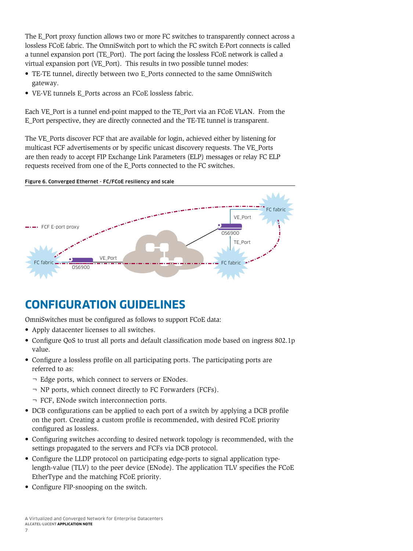<span id="page-8-0"></span>The E\_Port proxy function allows two or more FC switches to transparently connect across a lossless FCoE fabric. The OmniSwitch port to which the FC switch E-Port connects is called a tunnel expansion port (TE\_Port). The port facing the lossless FCoE network is called a virtual expansion port (VE\_Port). This results in two possible tunnel modes:

- TE-TE tunnel, directly between two E\_Ports connected to the same OmniSwitch gateway.
- VE-VE tunnels E\_Ports across an FCoE lossless fabric.

Each VE\_Port is a tunnel end-point mapped to the TE\_Port via an FCoE VLAN. From the E\_Port perspective, they are directly connected and the TE-TE tunnel is transparent.

The VE\_Ports discover FCF that are available for login, achieved either by listening for multicast FCF advertisements or by specific unicast discovery requests. The VE\_Ports are then ready to accept FIP Exchange Link Parameters (ELP) messages or relay FC ELP requests received from one of the E\_Ports connected to the FC switches.

#### Figure 6. Converged Ethernet - FC/FCoE resiliency and scale



# **CONFIGURATION GUIDELINES**

OmniSwitches must be configured as follows to support FCoE data:

- Apply datacenter licenses to all switches.
- Configure QoS to trust all ports and default classification mode based on ingress 802.1p value.
- Configure a lossless profile on all participating ports. The participating ports are referred to as:
	- ¬ Edge ports, which connect to servers or ENodes.
	- ¬ NP ports, which connect directly to FC Forwarders (FCFs).
	- ¬ FCF, ENode switch interconnection ports.
- DCB configurations can be applied to each port of a switch by applying a DCB profile on the port. Creating a custom profile is recommended, with desired FCoE priority configured as lossless.
- Configuring switches according to desired network topology is recommended, with the settings propagated to the servers and FCFs via DCB protocol.
- Configure the LLDP protocol on participating edge-ports to signal application typelength-value (TLV) to the peer device (ENode). The application TLV specifies the FCoE EtherType and the matching FCoE priority.
- Configure FIP-snooping on the switch.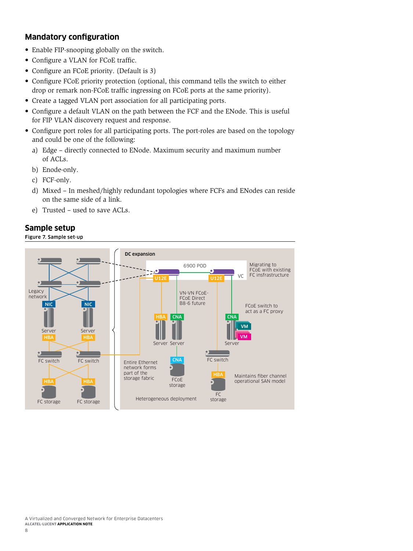### <span id="page-9-0"></span>**Mandatory configuration**

- Enable FIP-snooping globally on the switch.
- Configure a VLAN for FCoE traffic.
- Configure an FCoE priority. (Default is 3)
- Configure FCoE priority protection (optional, this command tells the switch to either drop or remark non-FCoE traffic ingressing on FCoE ports at the same priority).
- Create a tagged VLAN port association for all participating ports.
- Configure a default VLAN on the path between the FCF and the ENode. This is useful for FIP VLAN discovery request and response.
- Configure port roles for all participating ports. The port-roles are based on the topology and could be one of the following:
	- a) Edge directly connected to ENode. Maximum security and maximum number of ACLs.
	- b) Enode-only.
	- c) FCF-only.
	- d) Mixed In meshed/highly redundant topologies where FCFs and ENodes can reside on the same side of a link.
	- e) Trusted used to save ACLs.

### **Sample setup**

Figure 7. Sample set-up

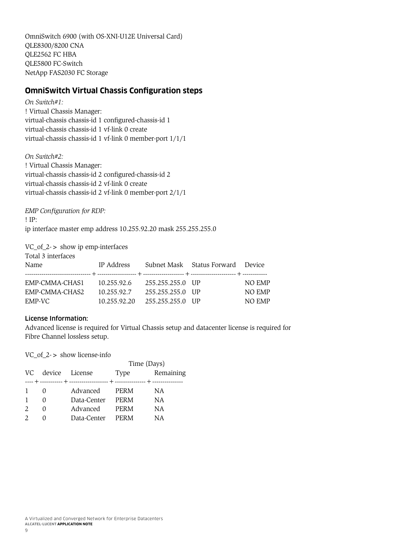<span id="page-10-0"></span>OmniSwitch 6900 (with OS-XNI-U12E Universal Card) QLE8300/8200 CNA QLE2562 FC HBA QLE5800 FC-Switch NetApp FAS2030 FC Storage

### **OmniSwitch Virtual Chassis Configuration steps**

*On Switch#1:* ! Virtual Chassis Manager: virtual-chassis chassis-id 1 configured-chassis-id 1 virtual-chassis chassis-id 1 vf-link 0 create virtual-chassis chassis-id 1 vf-link 0 member-port 1/1/1

*On Switch#2:*

! Virtual Chassis Manager: virtual-chassis chassis-id 2 configured-chassis-id 2 virtual-chassis chassis-id 2 vf-link 0 create virtual-chassis chassis-id 2 vf-link 0 member-port 2/1/1

*EMP Configuration for RDP:* ! IP: ip interface master emp address 10.255.92.20 mask 255.255.255.0

VC\_of\_2-> show ip emp-interfaces

| Total 3 interfaces<br>Name                 | IP Address                                                  |                                      | Subnet Mask Status Forward Device |                                   |
|--------------------------------------------|-------------------------------------------------------------|--------------------------------------|-----------------------------------|-----------------------------------|
| EMP-CMMA-CHAS1<br>EMP-CMMA-CHAS2<br>EMP-VC | 10.255.92.6 255.255.255.0 UP<br>10.255.92.7<br>10.255.92.20 | 255.255.255.0 UP<br>255.255.255.0 UP |                                   | NO EMP<br><b>NO EMP</b><br>NO EMP |

### License Information:

Advanced license is required for Virtual Chassis setup and datacenter license is required for Fibre Channel lossless setup.

VC\_of\_2-> show license-info

|     |        |                | Time (Days) |           |  |
|-----|--------|----------------|-------------|-----------|--|
| VC. |        | device License | Type        | Remaining |  |
|     |        |                |             |           |  |
|     | $\cup$ | Advanced       | <b>PERM</b> | ΝA        |  |
|     |        | Data-Center    | PERM        | NА        |  |
|     | $\cup$ | Advanced       | <b>PERM</b> | ΝA        |  |
|     |        | Data-Center    | PERM        | ΝA        |  |
|     |        |                |             |           |  |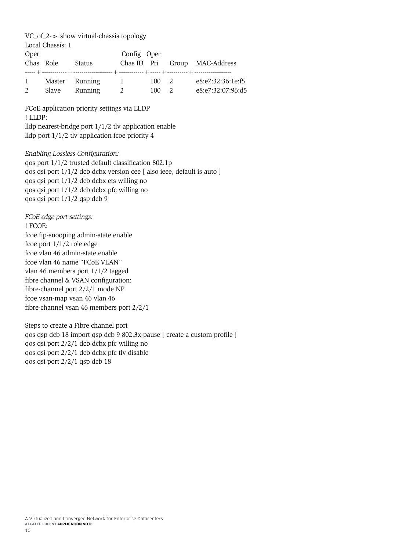| $VC_of_2$ > show virtual-chassis topology<br>Local Chassis: 1                                                                                                                                                                                                                                                                                                                 |         |                                 |             |  |       |                                              |  |  |
|-------------------------------------------------------------------------------------------------------------------------------------------------------------------------------------------------------------------------------------------------------------------------------------------------------------------------------------------------------------------------------|---------|---------------------------------|-------------|--|-------|----------------------------------------------|--|--|
| Oper<br>Chas Role                                                                                                                                                                                                                                                                                                                                                             |         | Status                          | Config Oper |  |       | Chas ID Pri Group MAC-Address                |  |  |
|                                                                                                                                                                                                                                                                                                                                                                               | 2 Slave | 1 Master Running 1<br>Running 2 |             |  | 100 2 | e8:e7:32:36:1e:f5<br>100 2 e8:e7:32:07:96:d5 |  |  |
| FCoE application priority settings via LLDP<br>! LLDP:<br>lldp nearest-bridge port $1/1/2$ tlv application enable<br>lldp port $1/1/2$ tlv application fcoe priority 4                                                                                                                                                                                                        |         |                                 |             |  |       |                                              |  |  |
| Enabling Lossless Configuration:<br>qos port 1/1/2 trusted default classification 802.1p<br>qos qsi port 1/1/2 dcb dcbx version cee [ also ieee, default is auto ]<br>qos qsi port 1/1/2 dcb dcbx ets willing no<br>qos qsi port 1/1/2 dcb dcbx pfc willing no<br>qos qsi port 1/1/2 qsp dcb 9                                                                                |         |                                 |             |  |       |                                              |  |  |
| FCoE edge port settings:<br>! FCOE:<br>fcoe fip-snooping admin-state enable<br>fcoe port $1/1/2$ role edge<br>fcoe vlan 46 admin-state enable<br>fcoe vlan 46 name "FCoE VLAN"<br>vlan 46 members port 1/1/2 tagged<br>fibre channel & VSAN configuration:<br>fibre-channel port 2/2/1 mode NP<br>fcoe vsan-map vsan 46 vlan 46<br>fibre-channel vsan 46 members port $2/2/1$ |         |                                 |             |  |       |                                              |  |  |
| Steps to create a Fibre channel port<br>qos qsp dcb 18 import qsp dcb 9 802.3x-pause [ create a custom profile ]<br>qos qsi port 2/2/1 dcb dcbx pfc willing no<br>qos qsi port 2/2/1 dcb dcbx pfc tlv disable                                                                                                                                                                 |         |                                 |             |  |       |                                              |  |  |

qos qsi port 2/2/1 qsp dcb 18